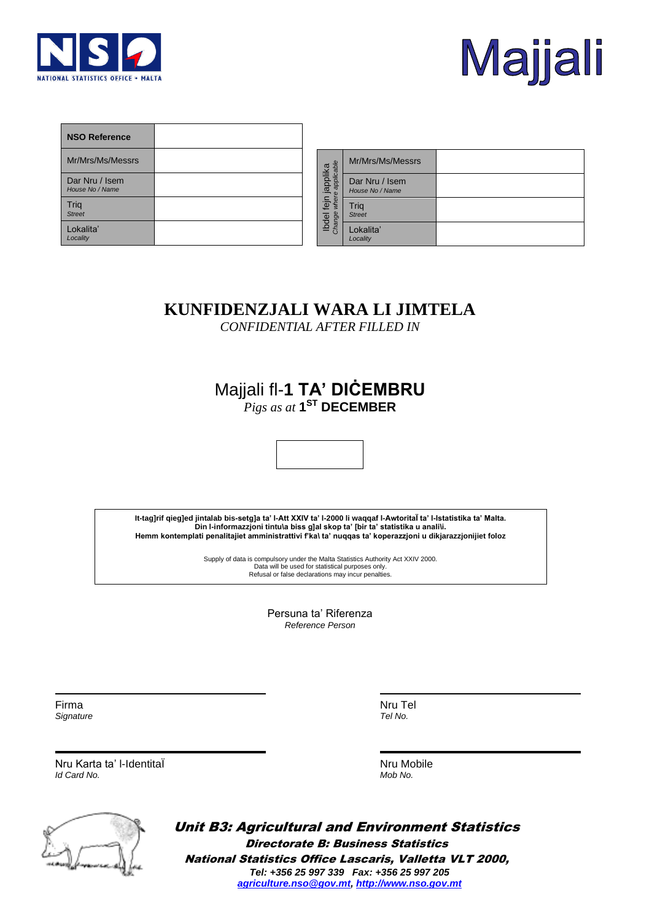



| <b>NSO Reference</b>              |                                                                                                                                                                                                                                                                                                                                                                                                                        |                                                |                               |
|-----------------------------------|------------------------------------------------------------------------------------------------------------------------------------------------------------------------------------------------------------------------------------------------------------------------------------------------------------------------------------------------------------------------------------------------------------------------|------------------------------------------------|-------------------------------|
| Mr/Mrs/Ms/Messrs                  |                                                                                                                                                                                                                                                                                                                                                                                                                        |                                                | Mr/Mrs/Ms                     |
| Dar Nru / Isem<br>House No / Name |                                                                                                                                                                                                                                                                                                                                                                                                                        |                                                | Dar Nru / Is<br>House No / Na |
| Trig<br><b>Street</b>             |                                                                                                                                                                                                                                                                                                                                                                                                                        | Ibdel fejn japplika<br>Change where applicable | Trig<br><b>Street</b>         |
| Lokalita'<br>Locality             |                                                                                                                                                                                                                                                                                                                                                                                                                        |                                                | Lokalita'<br>Locality         |
|                                   | KUNFIDENZJALI WARA LI<br><b>CONFIDENTIAL AFTER FILLE</b><br>Majjali fl-1 $TA'$ DICEMI<br>$Pigs as at 1^{ST}$ DECEMBER<br>It-tag]rif qieg]ed jintalab bis-setg]a ta' I-Att XXIV ta' I-2000 li waqqaf I-A<br>Din l-informazzjoni tintu\a biss g]al skop ta' [bir ta' sta<br>Hemm kontemplati penalitajiet amministrattivi f'ka\ ta' nuqqas ta' kope<br>Supply of data is compulsory under the Malta Statistics Authority |                                                |                               |
|                                   | Data will be used for statistical purposes only.<br>Refusal or false declarations may incur penalties.                                                                                                                                                                                                                                                                                                                 |                                                |                               |

| ruji i jappiirna<br>where applicable<br><b>Luder</b><br>Change | Mr/Mrs/Ms/Messrs                  |  |
|----------------------------------------------------------------|-----------------------------------|--|
|                                                                | Dar Nru / Isem<br>House No / Name |  |
|                                                                | Trig<br><b>Street</b>             |  |
|                                                                | Lokalita'<br>Locality             |  |

## **KUNFIDENZJALI WARA LI JIMTELA**

*CONFIDENTIAL AFTER FILLED IN*

## Majjali fl-**1 TA' DIĊEMBRU** *Pigs as at* **1 ST DECEMBER**



**It-tag]rif qieg]ed jintalab bis-setg]a ta' l-Att XXIV ta' l-2000 li waqqaf l-AwtoritaÏ ta' l-Istatistika ta' Malta. Din l-informazzjoni tintu\a biss g]al skop ta' [bir ta' statistika u anali\i. Hemm kontemplati penalitajiet amministrattivi f'ka\ ta' nuqqas ta' koperazzjoni u dikjarazzjonijiet foloz**

> Supply of data is compulsory under the Malta Statistics Authority Act XXIV 2000. Data will be used for statistical purposes only.<br>Refusal or false declarations may incur penalties

> > Persuna ta' Riferenza *Reference Person*

Firma *Signature* Nru Tel *Tel No.*

Nru Karta ta' l-IdentitaÏ *Id Card No.*

Nru Mobile *Mob No.*



Unit B3: Agricultural and Environment Statistics Directorate B: Business Statistics National Statistics Office Lascaris, Valletta VLT 2000, *Tel: +356 25 997 339 Fax: +356 25 997 205 [agriculture.nso@gov.mt,](mailto:agriculture.nso@gov.mt) [http://www.nso.gov.mt](http://www.nso.gov.mt/)*